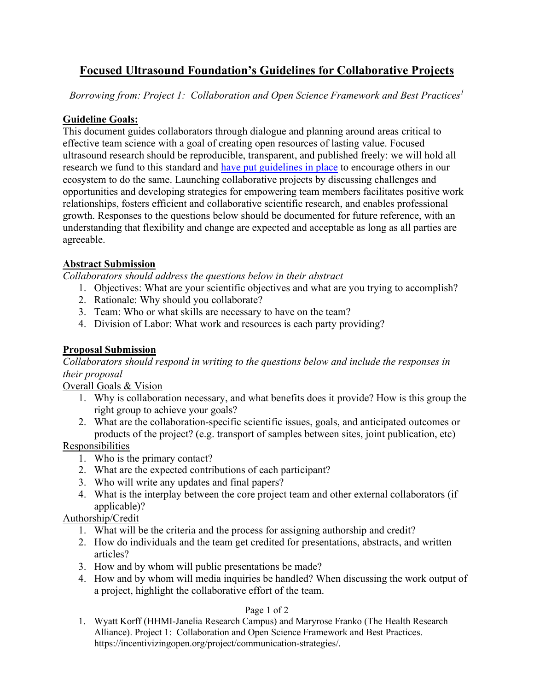# **Focused Ultrasound Foundation's Guidelines for Collaborative Projects**

*Borrowing from: Project 1: Collaboration and Open Science Framework and Best Practices<sup>1</sup>*

#### **Guideline Goals:**

This document guides collaborators through dialogue and planning around areas critical to effective team science with a goal of creating open resources of lasting value. Focused ultrasound research should be reproducible, transparent, and published freely: we will hold all research we fund to this standard and [have put guidelines in place](http://www.fusfoundation.org/images/pdf/DRAFT-Recommendations-DataSharing-v7-Focused_Ultrasound_Foundation.pdf) to encourage others in our ecosystem to do the same. Launching collaborative projects by discussing challenges and opportunities and developing strategies for empowering team members facilitates positive work relationships, fosters efficient and collaborative scientific research, and enables professional growth. Responses to the questions below should be documented for future reference, with an understanding that flexibility and change are expected and acceptable as long as all parties are agreeable.

### **Abstract Submission**

*Collaborators should address the questions below in their abstract*

- 1. Objectives: What are your scientific objectives and what are you trying to accomplish?
- 2. Rationale: Why should you collaborate?
- 3. Team: Who or what skills are necessary to have on the team?
- 4. Division of Labor: What work and resources is each party providing?

## **Proposal Submission**

*Collaborators should respond in writing to the questions below and include the responses in their proposal*

Overall Goals & Vision

- 1. Why is collaboration necessary, and what benefits does it provide? How is this group the right group to achieve your goals?
- 2. What are the collaboration-specific scientific issues, goals, and anticipated outcomes or products of the project? (e.g. transport of samples between sites, joint publication, etc)

#### **Responsibilities**

- 1. Who is the primary contact?
- 2. What are the expected contributions of each participant?
- 3. Who will write any updates and final papers?
- 4. What is the interplay between the core project team and other external collaborators (if applicable)?

#### Authorship/Credit

- 1. What will be the criteria and the process for assigning authorship and credit?
- 2. How do individuals and the team get credited for presentations, abstracts, and written articles?
- 3. How and by whom will public presentations be made?
- 4. How and by whom will media inquiries be handled? When discussing the work output of a project, highlight the collaborative effort of the team.

#### Page 1 of 2

1. Wyatt Korff (HHMI-Janelia Research Campus) and Maryrose Franko (The Health Research Alliance). Project 1: Collaboration and Open Science Framework and Best Practices. https://incentivizingopen.org/project/communication-strategies/.